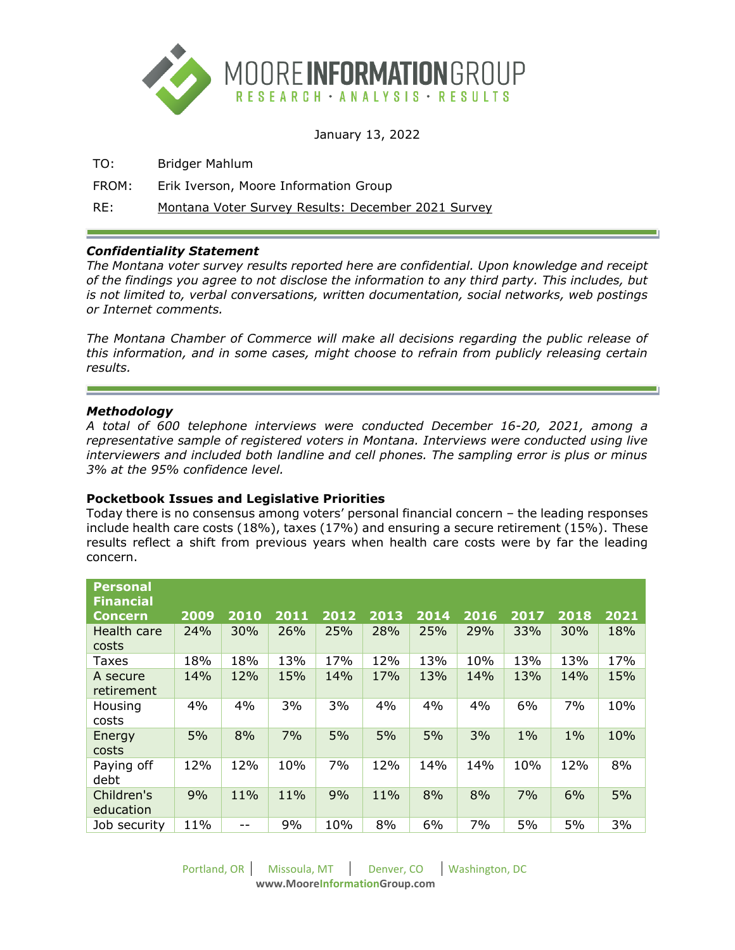

January 13, 2022

TO: Bridger Mahlum

FROM: Erik Iverson, Moore Information Group

RE: Montana Voter Survey Results: December 2021 Survey

# *Confidentiality Statement*

*The Montana voter survey results reported here are confidential. Upon knowledge and receipt of the findings you agree to not disclose the information to any third party. This includes, but is not limited to, verbal conversations, written documentation, social networks, web postings or Internet comments.* 

*The Montana Chamber of Commerce will make all decisions regarding the public release of this information, and in some cases, might choose to refrain from publicly releasing certain results.* 

### *Methodology*

*A total of 600 telephone interviews were conducted December 16-20, 2021, among a representative sample of registered voters in Montana. Interviews were conducted using live interviewers and included both landline and cell phones. The sampling error is plus or minus 3% at the 95% confidence level.*

### **Pocketbook Issues and Legislative Priorities**

Today there is no consensus among voters' personal financial concern – the leading responses include health care costs (18%), taxes (17%) and ensuring a secure retirement (15%). These results reflect a shift from previous years when health care costs were by far the leading concern.

| <b>Personal</b><br><b>Financial</b> |      |      |      |      |      |      |      |       |       |      |
|-------------------------------------|------|------|------|------|------|------|------|-------|-------|------|
| Concern                             | 2009 | 2010 | 2011 | 2012 | 2013 | 2014 | 2016 | 2017  | 2018  | 2021 |
| Health care<br>costs                | 24%  | 30%  | 26%  | 25%  | 28%  | 25%  | 29%  | 33%   | 30%   | 18%  |
| Taxes                               | 18%  | 18%  | 13%  | 17%  | 12%  | 13%  | 10%  | 13%   | 13%   | 17%  |
| A secure<br>retirement              | 14%  | 12%  | 15%  | 14%  | 17%  | 13%  | 14%  | 13%   | 14%   | 15%  |
| Housing<br>costs                    | 4%   | 4%   | 3%   | 3%   | 4%   | 4%   | 4%   | 6%    | 7%    | 10%  |
| Energy<br>costs                     | 5%   | 8%   | 7%   | 5%   | 5%   | 5%   | 3%   | $1\%$ | $1\%$ | 10%  |
| Paying off<br>debt                  | 12%  | 12%  | 10%  | 7%   | 12%  | 14%  | 14%  | 10%   | 12%   | 8%   |
| Children's<br>education             | 9%   | 11%  | 11%  | 9%   | 11%  | 8%   | 8%   | 7%    | 6%    | 5%   |
| Job security                        | 11%  |      | 9%   | 10%  | 8%   | 6%   | 7%   | 5%    | 5%    | 3%   |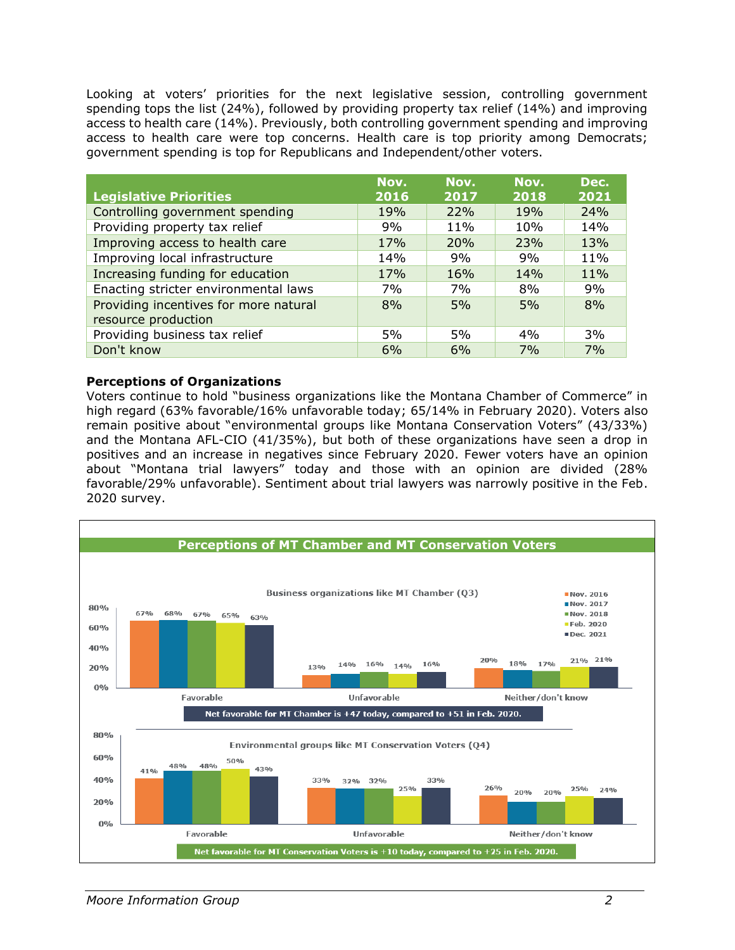Looking at voters' priorities for the next legislative session, controlling government spending tops the list (24%), followed by providing property tax relief (14%) and improving access to health care (14%). Previously, both controlling government spending and improving access to health care were top concerns. Health care is top priority among Democrats; government spending is top for Republicans and Independent/other voters.

|                                       | Nov. | Nov. | Nov.  | Dec. |
|---------------------------------------|------|------|-------|------|
| <b>Legislative Priorities</b>         | 2016 | 2017 | 2018  | 2021 |
| Controlling government spending       | 19%  | 22%  | 19%   | 24%  |
| Providing property tax relief         | 9%   | 11%  | 10%   | 14%  |
| Improving access to health care       | 17%  | 20%  | 23%   | 13%  |
| Improving local infrastructure        | 14%  | 9%   | 9%    | 11%  |
| Increasing funding for education      | 17%  | 16%  | 14%   | 11%  |
| Enacting stricter environmental laws  | 7%   | 7%   | 8%    | 9%   |
| Providing incentives for more natural | 8%   | 5%   | 5%    | 8%   |
| resource production                   |      |      |       |      |
| Providing business tax relief         | 5%   | 5%   | $4\%$ | 3%   |
| Don't know                            | 6%   | 6%   | 7%    | 7%   |

### **Perceptions of Organizations**

Voters continue to hold "business organizations like the Montana Chamber of Commerce" in high regard (63% favorable/16% unfavorable today; 65/14% in February 2020). Voters also remain positive about "environmental groups like Montana Conservation Voters" (43/33%) and the Montana AFL-CIO (41/35%), but both of these organizations have seen a drop in positives and an increase in negatives since February 2020. Fewer voters have an opinion about "Montana trial lawyers" today and those with an opinion are divided (28% favorable/29% unfavorable). Sentiment about trial lawyers was narrowly positive in the Feb. 2020 survey.

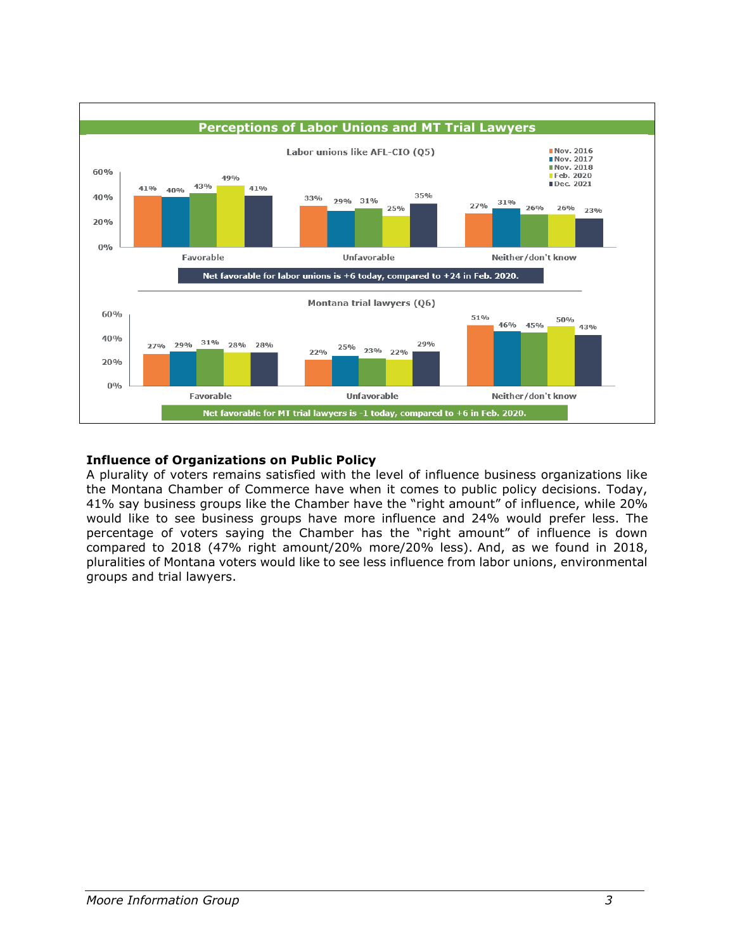

# **Influence of Organizations on Public Policy**

A plurality of voters remains satisfied with the level of influence business organizations like the Montana Chamber of Commerce have when it comes to public policy decisions. Today, 41% say business groups like the Chamber have the "right amount" of influence, while 20% would like to see business groups have more influence and 24% would prefer less. The percentage of voters saying the Chamber has the "right amount" of influence is down compared to 2018 (47% right amount/20% more/20% less). And, as we found in 2018, pluralities of Montana voters would like to see less influence from labor unions, environmental groups and trial lawyers.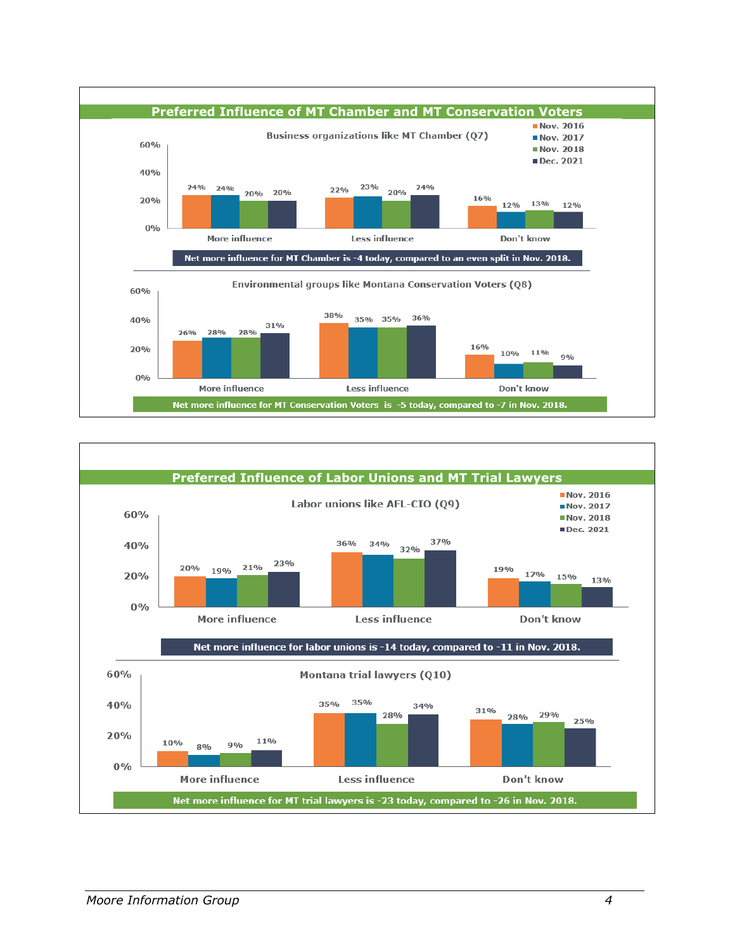

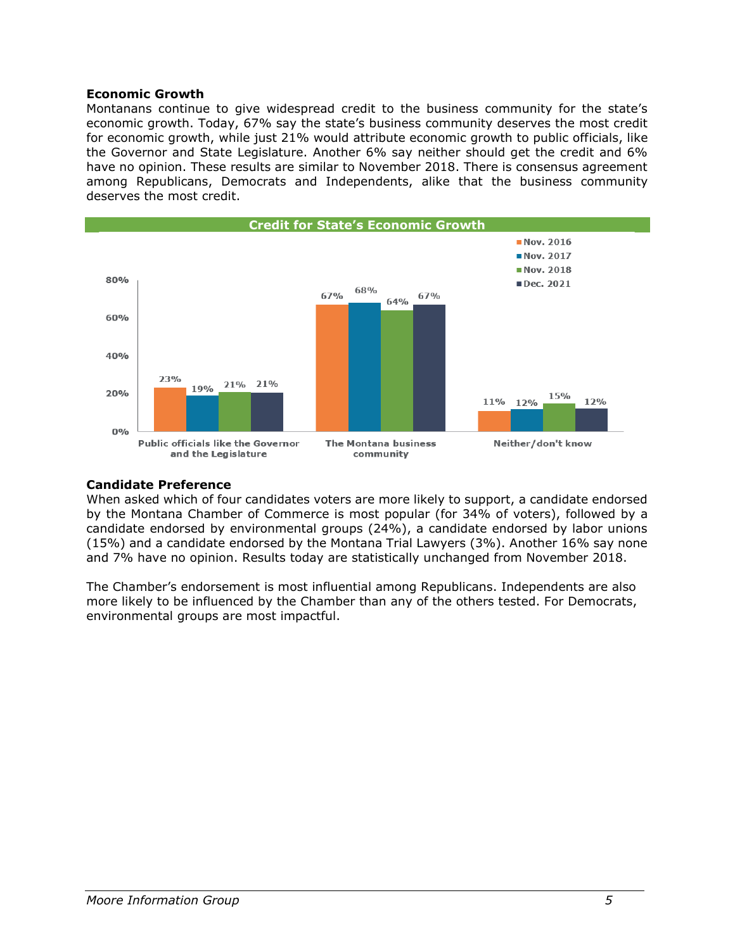### **Economic Growth**

Montanans continue to give widespread credit to the business community for the state's economic growth. Today, 67% say the state's business community deserves the most credit for economic growth, while just 21% would attribute economic growth to public officials, like the Governor and State Legislature. Another 6% say neither should get the credit and 6% have no opinion. These results are similar to November 2018. There is consensus agreement among Republicans, Democrats and Independents, alike that the business community deserves the most credit.



# **Candidate Preference**

When asked which of four candidates voters are more likely to support, a candidate endorsed by the Montana Chamber of Commerce is most popular (for 34% of voters), followed by a candidate endorsed by environmental groups (24%), a candidate endorsed by labor unions (15%) and a candidate endorsed by the Montana Trial Lawyers (3%). Another 16% say none and 7% have no opinion. Results today are statistically unchanged from November 2018.

The Chamber's endorsement is most influential among Republicans. Independents are also more likely to be influenced by the Chamber than any of the others tested. For Democrats, environmental groups are most impactful.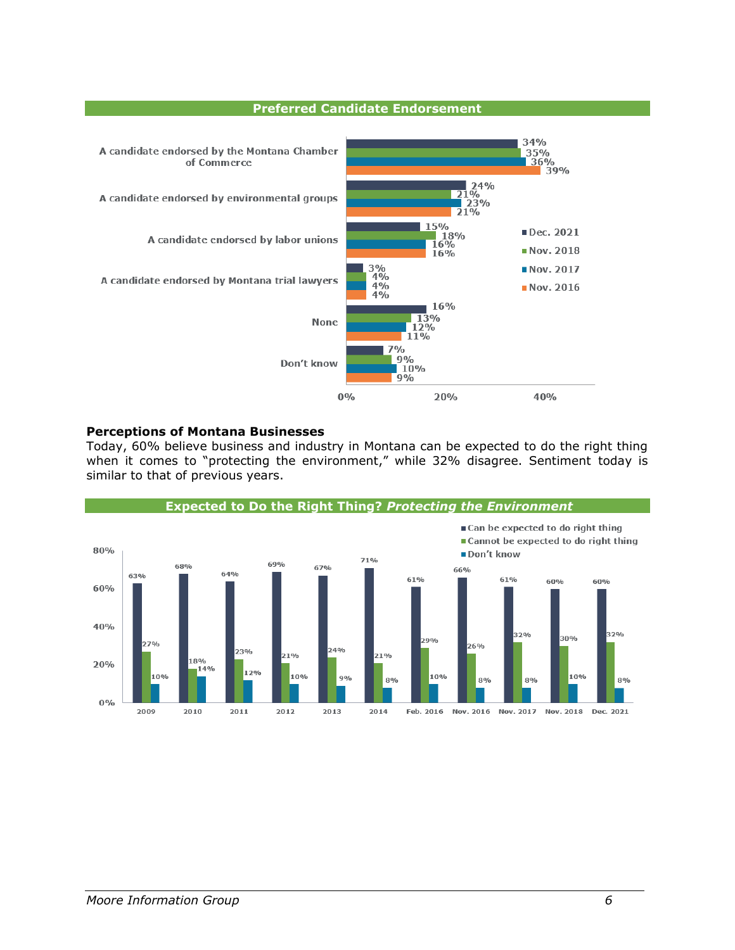#### **Preferred Candidate Endorsement**



#### **Perceptions of Montana Businesses**

Today, 60% believe business and industry in Montana can be expected to do the right thing when it comes to "protecting the environment," while 32% disagree. Sentiment today is similar to that of previous years.

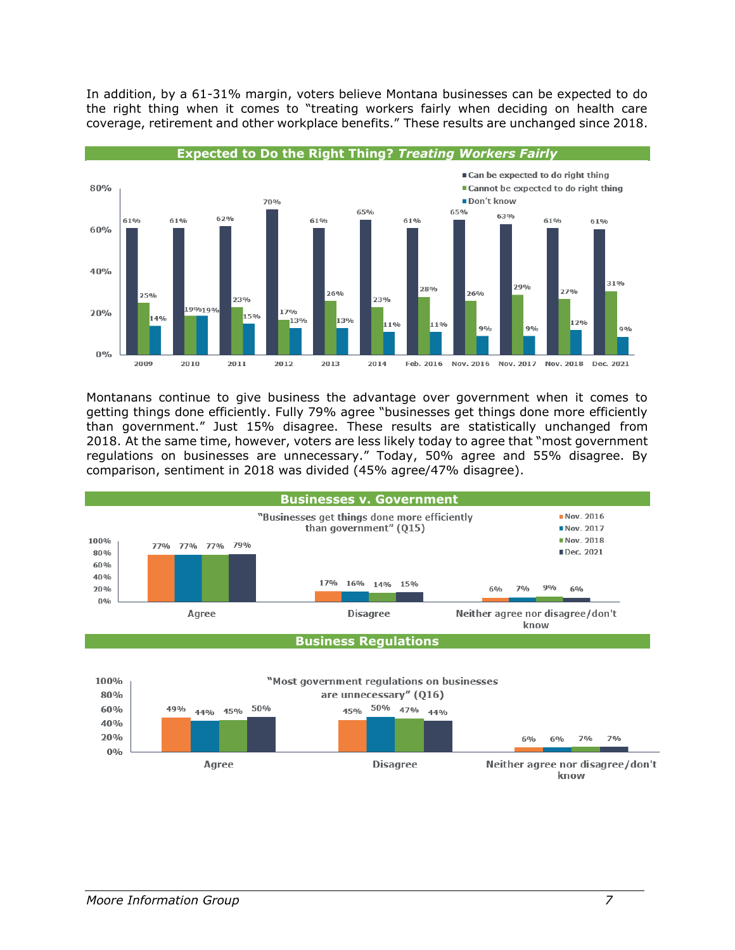In addition, by a 61-31% margin, voters believe Montana businesses can be expected to do the right thing when it comes to "treating workers fairly when deciding on health care coverage, retirement and other workplace benefits." These results are unchanged since 2018.



Montanans continue to give business the advantage over government when it comes to getting things done efficiently. Fully 79% agree "businesses get things done more efficiently than government." Just 15% disagree. These results are statistically unchanged from 2018. At the same time, however, voters are less likely today to agree that "most government regulations on businesses are unnecessary." Today, 50% agree and 55% disagree. By comparison, sentiment in 2018 was divided (45% agree/47% disagree).